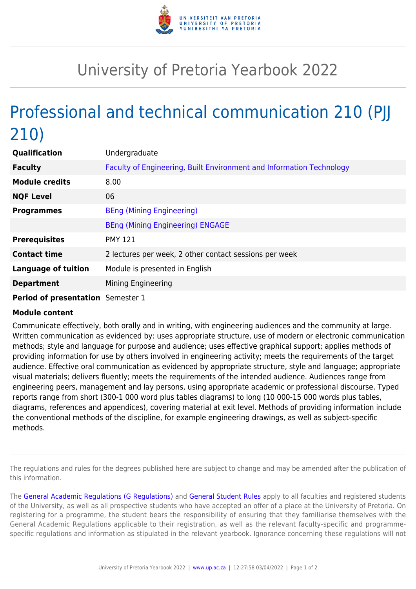

## University of Pretoria Yearbook 2022

## Professional and technical communication 210 (PJJ 210)

| Qualification                     | Undergraduate                                                        |
|-----------------------------------|----------------------------------------------------------------------|
| <b>Faculty</b>                    | Faculty of Engineering, Built Environment and Information Technology |
| <b>Module credits</b>             | 8.00                                                                 |
| <b>NQF Level</b>                  | 06                                                                   |
| <b>Programmes</b>                 | <b>BEng (Mining Engineering)</b>                                     |
|                                   | <b>BEng (Mining Engineering) ENGAGE</b>                              |
| <b>Prerequisites</b>              | <b>PMY 121</b>                                                       |
| <b>Contact time</b>               | 2 lectures per week, 2 other contact sessions per week               |
| <b>Language of tuition</b>        | Module is presented in English                                       |
| <b>Department</b>                 | Mining Engineering                                                   |
| Period of presentation Semester 1 |                                                                      |

## **Module content**

Communicate effectively, both orally and in writing, with engineering audiences and the community at large. Written communication as evidenced by: uses appropriate structure, use of modern or electronic communication methods; style and language for purpose and audience; uses effective graphical support; applies methods of providing information for use by others involved in engineering activity; meets the requirements of the target audience. Effective oral communication as evidenced by appropriate structure, style and language; appropriate visual materials; delivers fluently; meets the requirements of the intended audience. Audiences range from engineering peers, management and lay persons, using appropriate academic or professional discourse. Typed reports range from short (300-1 000 word plus tables diagrams) to long (10 000-15 000 words plus tables, diagrams, references and appendices), covering material at exit level. Methods of providing information include the conventional methods of the discipline, for example engineering drawings, as well as subject-specific methods.

The regulations and rules for the degrees published here are subject to change and may be amended after the publication of this information.

The [General Academic Regulations \(G Regulations\)](https://www.up.ac.za/yearbooks/2022/rules/view/REG) and [General Student Rules](https://www.up.ac.za/yearbooks/2022/rules/view/RUL) apply to all faculties and registered students of the University, as well as all prospective students who have accepted an offer of a place at the University of Pretoria. On registering for a programme, the student bears the responsibility of ensuring that they familiarise themselves with the General Academic Regulations applicable to their registration, as well as the relevant faculty-specific and programmespecific regulations and information as stipulated in the relevant yearbook. Ignorance concerning these regulations will not